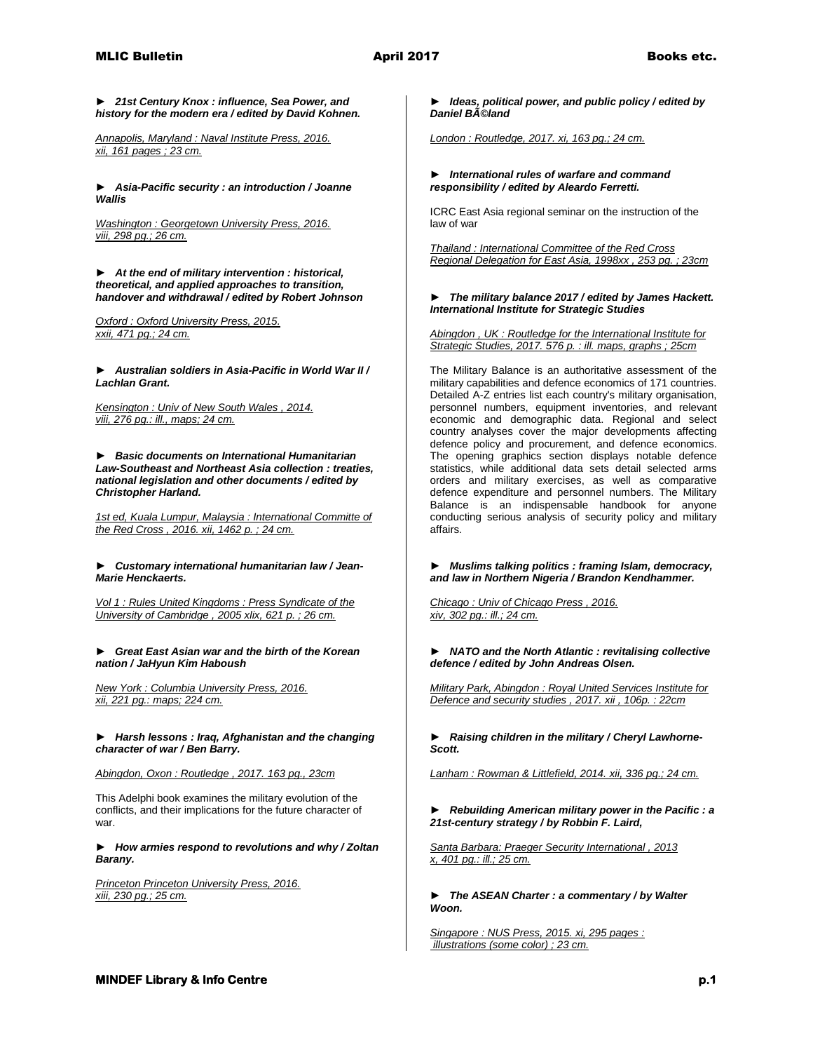*► 21st Century Knox : influence, Sea Power, and history for the modern era / edited by David Kohnen.*

*Annapolis, Maryland : Naval Institute Press, 2016. xii, 161 pages ; 23 cm.* 

*► Asia-Pacific security : an introduction / Joanne Wallis*

*Washington : Georgetown University Press, 2016. viii, 298 pg.; 26 cm.* 

*► At the end of military intervention : historical, theoretical, and applied approaches to transition, handover and withdrawal / edited by Robert Johnson*

*Oxford : Oxford University Press, 2015. xxii, 471 pg.; 24 cm.* 

*► Australian soldiers in Asia-Pacific in World War II / Lachlan Grant.*

*Kensington : Univ of New South Wales , 2014. viii, 276 pg.: ill., maps; 24 cm.* 

*► Basic documents on International Humanitarian Law-Southeast and Northeast Asia collection : treaties, national legislation and other documents / edited by Christopher Harland.*

*1st ed, Kuala Lumpur, Malaysia : International Committe of the Red Cross , 2016. xii, 1462 p. ; 24 cm.* 

### *► Customary international humanitarian law / Jean-Marie Henckaerts.*

*Vol 1 : Rules United Kingdoms : Press Syndicate of the University of Cambridge , 2005 xlix, 621 p. ; 26 cm.* 

*► Great East Asian war and the birth of the Korean nation / JaHyun Kim Haboush*

*New York : Columbia University Press, 2016. xii, 221 pg.: maps; 224 cm.* 

*► Harsh lessons : Iraq, Afghanistan and the changing character of war / Ben Barry.*

*Abingdon, Oxon : Routledge , 2017. 163 pg., 23cm*

This Adelphi book examines the military evolution of the conflicts, and their implications for the future character of war.

*► How armies respond to revolutions and why / Zoltan Barany.*

*Princeton Princeton University Press, 2016. xiii, 230 pg.; 25 cm.*

## *► Ideas, political power, and public policy / edited by Daniel Béland*

*London : Routledge, 2017. xi, 163 pg.; 24 cm.* 

## *► International rules of warfare and command responsibility / edited by Aleardo Ferretti.*

ICRC East Asia regional seminar on the instruction of the law of war

*Thailand : International Committee of the Red Cross Regional Delegation for East Asia, 1998xx , 253 pg. ; 23cm* 

### *► The military balance 2017 / edited by James Hackett. International Institute for Strategic Studies*

*Abingdon , UK : Routledge for the International Institute for Strategic Studies, 2017. 576 p. : ill. maps, graphs ; 25cm* 

The Military Balance is an authoritative assessment of the military capabilities and defence economics of 171 countries. Detailed A-Z entries list each country's military organisation, personnel numbers, equipment inventories, and relevant economic and demographic data. Regional and select country analyses cover the major developments affecting defence policy and procurement, and defence economics. The opening graphics section displays notable defence statistics, while additional data sets detail selected arms orders and military exercises, as well as comparative defence expenditure and personnel numbers. The Military Balance is an indispensable handbook for anyone conducting serious analysis of security policy and military affairs.

*► Muslims talking politics : framing Islam, democracy, and law in Northern Nigeria / Brandon Kendhammer.*

*Chicago : Univ of Chicago Press , 2016. xiv, 302 pg.: ill.; 24 cm.* 

*► NATO and the North Atlantic : revitalising collective defence / edited by John Andreas Olsen.*

*Military Park, Abingdon : Royal United Services Institute for Defence and security studies , 2017. xii , 106p. : 22cm* 

*► Raising children in the military / Cheryl Lawhorne-Scott.*

*Lanham : Rowman & Littlefield, 2014. xii, 336 pg.; 24 cm.* 

*► Rebuilding American military power in the Pacific : a 21st-century strategy / by Robbin F. Laird,*

*Santa Barbara: Praeger Security International , 2013 x, 401 pg.: ill.; 25 cm.* 

*► The ASEAN Charter : a commentary / by Walter Woon.*

*Singapore : NUS Press, 2015. xi, 295 pages : illustrations (some color) ; 23 cm.*